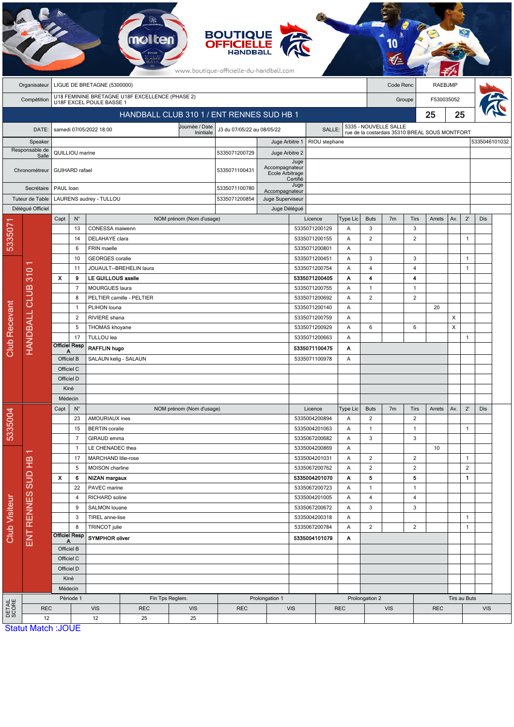| <b>BOUTIQUE</b><br><b>OFFICIELLE</b><br>www.boutique-officielle-du-handball.com |                         |                                                       |                |                                  |                                                 |                                           |                                                       |                  |                                |               |                       |                |                |                                                |                |                |               |  |
|---------------------------------------------------------------------------------|-------------------------|-------------------------------------------------------|----------------|----------------------------------|-------------------------------------------------|-------------------------------------------|-------------------------------------------------------|------------------|--------------------------------|---------------|-----------------------|----------------|----------------|------------------------------------------------|----------------|----------------|---------------|--|
|                                                                                 | Organisateur            | LIGUE DE BRETAGNE (5300000)                           |                |                                  |                                                 |                                           |                                                       |                  |                                |               | Code Renc             |                | <b>RAEBJMP</b> |                                                |                |                |               |  |
|                                                                                 | Compétition             |                                                       |                | U18F EXCEL POULE BASSE 1         | U18 FEMININE BRETAGNE U18F EXCELLENCE (PHASE 2) |                                           |                                                       |                  |                                |               | Groupe                |                |                | F530035052                                     |                |                |               |  |
|                                                                                 |                         |                                                       |                |                                  |                                                 | HANDBALL CLUB 310 1 / ENT RENNES SUD HB 1 |                                                       |                  |                                |               |                       |                | 25             | 25                                             |                |                |               |  |
|                                                                                 | DATE:                   |                                                       |                | samedi 07/05/2022 18:00          |                                                 | Journée / Date<br>Inintiale               | J3 du 07/05/22 au 08/05/22<br>SALLE:                  |                  |                                |               | 5335 - NOUVELLE SALLE |                |                | rue de la costardais 35310 BREAL SOUS MONTFORT |                |                |               |  |
|                                                                                 | Speaker                 |                                                       |                |                                  |                                                 |                                           |                                                       | Juge Arbitre 1   | RIOU stephane                  |               |                       |                |                |                                                |                |                | 5335046101032 |  |
|                                                                                 | Responsable de<br>Salle | QUILLIOU marine                                       |                |                                  |                                                 |                                           | 5335071200729                                         | Juge Arbitre 2   |                                |               |                       |                |                |                                                |                |                |               |  |
| Chronométreur                                                                   |                         | <b>GUIHARD</b> rafael                                 |                |                                  |                                                 | 5335071100431                             | Juge<br>Accompagnateur<br>Ecole Arbitrage<br>Certifié |                  |                                |               |                       |                |                |                                                |                |                |               |  |
|                                                                                 | Secrétaire              | PAUL loan                                             |                |                                  |                                                 |                                           | 5335071100780<br>Accompagnateur                       |                  | Juge                           |               |                       |                |                |                                                |                |                |               |  |
|                                                                                 | Tuteur de Table         | LAURENS audrey - TULLOU                               |                |                                  |                                                 |                                           | 5335071200854                                         | Juge Superviseur |                                |               |                       |                |                |                                                |                |                |               |  |
|                                                                                 | Délégué Officiel        |                                                       |                |                                  |                                                 |                                           |                                                       | Juge Délégué     |                                |               |                       |                |                |                                                |                |                |               |  |
|                                                                                 |                         | Capt                                                  | $N^{\circ}$    |                                  |                                                 | NOM prénom (Nom d'usage)                  |                                                       |                  | Licence                        | Type Lic      | <b>Buts</b>           | 7 <sub>m</sub> | Tirs           | Arrets                                         | Av.            | $2^{\prime}$   | Dis           |  |
| 533507                                                                          |                         |                                                       | 13             | CONESSA maiwenn                  |                                                 |                                           |                                                       |                  | 5335071200129                  | A             | 3                     |                | 3              |                                                |                |                |               |  |
|                                                                                 |                         |                                                       | 14             | DELAHAYE clara<br>FRIN maelle    |                                                 |                                           |                                                       |                  | 5335071200155<br>5335071200801 | Α             | $\sqrt{2}$            |                | $\overline{c}$ |                                                |                | $\mathbf{1}$   |               |  |
|                                                                                 |                         |                                                       | 6<br>10        | <b>GEORGES</b> coralie           |                                                 |                                           |                                                       |                  | 5335071200451                  | Α<br>Α        | 3                     |                | 3              |                                                |                | $\mathbf{1}$   |               |  |
|                                                                                 |                         |                                                       | 11             |                                  | JOUAULT--BREHELIN laura                         |                                           |                                                       |                  | 5335071200754                  | Α             | $\overline{4}$        |                | 4              |                                                |                | $\mathbf{1}$   |               |  |
|                                                                                 |                         | $\boldsymbol{\mathsf{x}}$                             | 9              | LE GUILLOUS axelle               |                                                 |                                           |                                                       |                  | 5335071200405                  | Α             | 4                     |                | 4              |                                                |                |                |               |  |
|                                                                                 |                         |                                                       | $\overline{7}$ | MOURGUES laura                   |                                                 |                                           |                                                       |                  | 5335071200755                  | Α             | $\mathbf{1}$          |                | $\overline{1}$ |                                                |                |                |               |  |
|                                                                                 |                         |                                                       | 8              |                                  | PELTIER camille - PELTIER                       |                                           |                                                       |                  | 5335071200692                  | A             | $\overline{2}$        |                | $\overline{2}$ |                                                |                |                |               |  |
|                                                                                 |                         |                                                       | $\mathbf{1}$   | PLIHON louna                     |                                                 |                                           |                                                       |                  | 5335071200140                  | A             |                       |                |                | 20                                             |                |                |               |  |
|                                                                                 |                         |                                                       | $\overline{2}$ | RIVIERE shana                    |                                                 |                                           |                                                       |                  | 5335071200759                  | Α             |                       |                |                |                                                | X              |                |               |  |
|                                                                                 |                         |                                                       | 5              | THOMAS khoyane                   |                                                 |                                           |                                                       |                  | 5335071200929                  | Α             | 6                     |                | 6              |                                                | $\pmb{\times}$ |                |               |  |
|                                                                                 |                         |                                                       | 17             | TULLOU lea                       |                                                 |                                           |                                                       |                  | 5335071200663                  | Α             |                       |                |                |                                                |                | $\mathbf{1}$   |               |  |
| <b>Club Recevant</b>                                                            | HANDBALL CLUB 310       | <b>Officiel Resp</b><br>Α                             |                | <b>RAFFLIN hugo</b>              |                                                 |                                           | 5335071100475                                         |                  |                                | Α             |                       |                |                |                                                |                |                |               |  |
|                                                                                 |                         | Officiel B                                            |                | SALAUN kelig - SALAUN            |                                                 |                                           |                                                       | 5335071100978    | A                              |               |                       |                |                |                                                |                |                |               |  |
|                                                                                 |                         | Officiel C                                            |                |                                  |                                                 |                                           |                                                       |                  |                                |               |                       |                |                |                                                |                |                |               |  |
|                                                                                 |                         | Officiel D                                            |                |                                  |                                                 |                                           |                                                       |                  |                                |               |                       |                |                |                                                |                |                |               |  |
|                                                                                 |                         | Kiné                                                  |                |                                  |                                                 |                                           |                                                       |                  |                                |               |                       |                |                |                                                |                |                |               |  |
|                                                                                 |                         | Médecin<br>Capt<br>$N^{\circ}$                        |                |                                  |                                                 |                                           |                                                       |                  |                                |               | <b>Buts</b>           | 7 <sub>m</sub> | Tirs           |                                                | Av.            | $2^{\prime}$   | Dis           |  |
| 5335004                                                                         |                         |                                                       | 23             | AMOURIAUX ines                   |                                                 | NOM prénom (Nom d'usage)                  |                                                       |                  | Licence<br>5335004200894       | Type Lic<br>Α | $\overline{2}$        |                | $\overline{2}$ | Arrets                                         |                |                |               |  |
|                                                                                 |                         |                                                       | 15             | <b>BERTIN</b> coralie            |                                                 |                                           |                                                       |                  | 5335004201063                  | Α             | $\mathbf{1}$          |                | $\mathbf{1}$   |                                                |                | $\mathbf{1}$   |               |  |
|                                                                                 |                         |                                                       | $\overline{7}$ | GIRAUD emma                      |                                                 |                                           |                                                       |                  | 5335067200682                  | Α             | 3                     |                | 3              |                                                |                |                |               |  |
|                                                                                 | ↽                       |                                                       | $\mathbf{1}$   | LE CHENADEC thea                 |                                                 |                                           |                                                       |                  | 5335004200869                  | Α             |                       |                |                | 10                                             |                |                |               |  |
|                                                                                 |                         |                                                       | 17             | MARCHAND lilie-rose              |                                                 |                                           |                                                       |                  | 5335004201031                  | Α             | $\overline{2}$        |                | $\overline{c}$ |                                                |                | $\mathbf{1}$   |               |  |
|                                                                                 |                         |                                                       | 5              | MOISON charline                  |                                                 |                                           |                                                       |                  | 5335067200762                  | Α             | $\overline{2}$        |                | $\overline{c}$ |                                                |                | $\overline{2}$ |               |  |
|                                                                                 |                         | $\boldsymbol{\mathsf{x}}$                             | 6              | NIZAN margaux                    |                                                 |                                           |                                                       |                  | 5335004201070                  | Α             | 5                     |                | 5              |                                                |                | $\mathbf{1}$   |               |  |
|                                                                                 |                         |                                                       | 22             | PAVEC marine                     |                                                 |                                           |                                                       |                  | 5335067200723                  | Α             | $\mathbf{1}$          |                | $\mathbf{1}$   |                                                |                |                |               |  |
|                                                                                 |                         |                                                       | $\overline{4}$ | RICHARD soline                   |                                                 |                                           |                                                       |                  | 5335004201005                  | Α             | $\overline{4}$        |                | 4              |                                                |                |                |               |  |
|                                                                                 | ENT RENNES SUD HB       |                                                       | 9<br>3         | SALMON louane                    |                                                 |                                           |                                                       |                  | 5335067200672<br>5335004200318 | Α<br>Α        | 3                     |                | 3              |                                                |                | $\overline{1}$ |               |  |
|                                                                                 |                         | 8<br><b>Officiel Resp</b><br>Officiel B<br>Officiel C |                | TIREL anne-lise<br>TRINCOT julie |                                                 |                                           |                                                       |                  | 5335067200784                  |               | $\overline{2}$        |                | $\overline{c}$ |                                                |                | $\mathbf{1}$   |               |  |
| <b>Club Visiteur</b>                                                            |                         |                                                       |                | SYMPHOR oliver                   |                                                 |                                           |                                                       |                  | 5335004101079                  | Α<br>Α        |                       |                |                |                                                |                |                |               |  |
|                                                                                 |                         |                                                       |                |                                  |                                                 |                                           |                                                       |                  |                                |               |                       |                |                |                                                |                |                |               |  |
|                                                                                 |                         |                                                       |                |                                  |                                                 |                                           |                                                       |                  |                                |               |                       |                |                |                                                |                |                |               |  |
|                                                                                 |                         | Officiel D                                            |                |                                  |                                                 |                                           |                                                       |                  |                                |               |                       |                |                |                                                |                |                |               |  |
|                                                                                 |                         |                                                       | Kiné           |                                  |                                                 |                                           |                                                       |                  |                                |               |                       |                |                |                                                |                |                |               |  |
|                                                                                 |                         | Médecin                                               |                |                                  |                                                 |                                           |                                                       |                  |                                |               |                       |                |                |                                                |                |                |               |  |
|                                                                                 |                         | Période 1                                             |                |                                  |                                                 | Fin Tps Reglem.                           |                                                       | Prolongation 1   |                                |               | Prolongation 2        |                |                |                                                |                | Tirs au Buts   |               |  |
|                                                                                 | <b>REC</b>              |                                                       |                | <b>VIS</b>                       | <b>REC</b>                                      | <b>VIS</b>                                | <b>REC</b>                                            | <b>VIS</b>       |                                | <b>REC</b>    | <b>VIS</b>            |                |                | <b>REC</b>                                     |                | <b>VIS</b>     |               |  |
| <b>DETAIL</b><br>SCORE                                                          | 12                      |                                                       |                | 12                               | 25                                              | 25                                        |                                                       |                  |                                |               |                       |                |                |                                                |                |                |               |  |